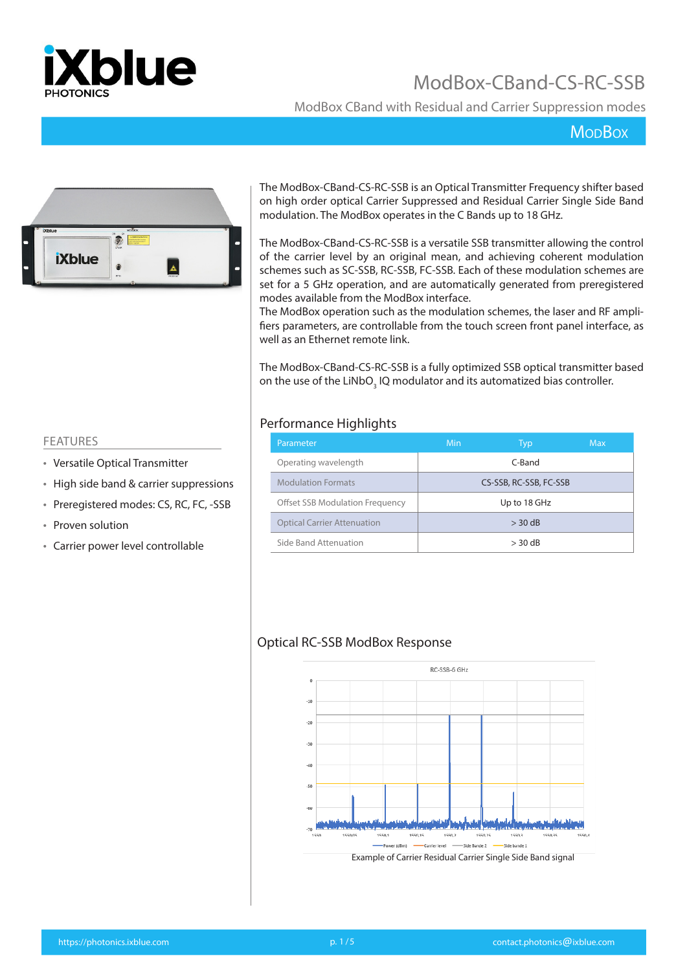

ModBox CBand with Residual and Carrier Suppression modes

### **MopBox**



The ModBox-CBand-CS-RC-SSB is an Optical Transmitter Frequency shifter based on high order optical Carrier Suppressed and Residual Carrier Single Side Band modulation. The ModBox operates in the C Bands up to 18 GHz.

The ModBox-CBand-CS-RC-SSB is a versatile SSB transmitter allowing the control of the carrier level by an original mean, and achieving coherent modulation schemes such as SC-SSB, RC-SSB, FC-SSB. Each of these modulation schemes are set for a 5 GHz operation, and are automatically generated from preregistered modes available from the ModBox interface.

The ModBox operation such as the modulation schemes, the laser and RF amplifiers parameters, are controllable from the touch screen front panel interface, as well as an Ethernet remote link.

The ModBox-CBand-CS-RC-SSB is a fully optimized SSB optical transmitter based on the use of the LiNbO<sub>3</sub> IQ modulator and its automatized bias controller.

#### Performance Highlights

| Parameter                          | Min       | Typ                    | <b>Max</b> |
|------------------------------------|-----------|------------------------|------------|
| Operating wavelength               |           | C-Band                 |            |
| <b>Modulation Formats</b>          |           | CS-SSB, RC-SSB, FC-SSB |            |
| Offset SSB Modulation Frequency    |           | Up to 18 GHz           |            |
| <b>Optical Carrier Attenuation</b> |           | $>$ 30 dB              |            |
| Side Band Attenuation              | $>$ 30 dB |                        |            |

#### Optical RC-SSB ModBox Response



#### FEATURES

- Versatile Optical Transmitter
- High side band & carrier suppressions
- Preregistered modes: CS, RC, FC, -SSB
- Proven solution
- Carrier power level controllable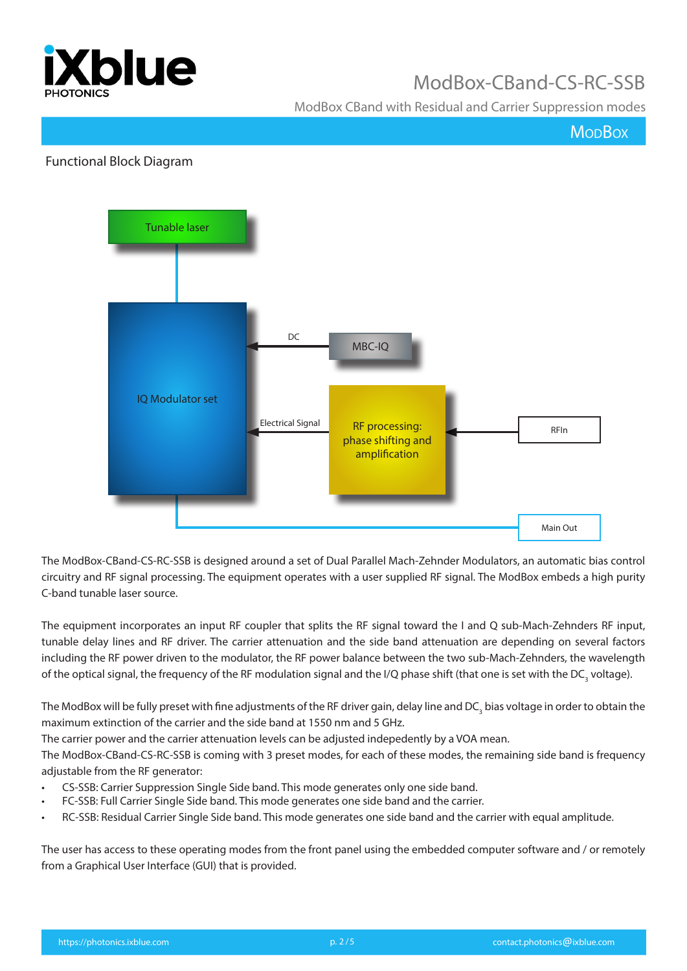

ModBox CBand with Residual and Carrier Suppression modes

**MopBox** 

#### Functional Block Diagram



The ModBox-CBand-CS-RC-SSB is designed around a set of Dual Parallel Mach-Zehnder Modulators, an automatic bias control circuitry and RF signal processing. The equipment operates with a user supplied RF signal. The ModBox embeds a high purity C-band tunable laser source.

The equipment incorporates an input RF coupler that splits the RF signal toward the I and Q sub-Mach-Zehnders RF input, tunable delay lines and RF driver. The carrier attenuation and the side band attenuation are depending on several factors including the RF power driven to the modulator, the RF power balance between the two sub-Mach-Zehnders, the wavelength of the optical signal, the frequency of the RF modulation signal and the I/Q phase shift (that one is set with the DC<sub>3</sub> voltage).

The ModBox will be fully preset with fine adjustments of the RF driver gain, delay line and DC<sub>3</sub> bias voltage in order to obtain the maximum extinction of the carrier and the side band at 1550 nm and 5 GHz.

The carrier power and the carrier attenuation levels can be adjusted indepedently by a VOA mean.

The ModBox-CBand-CS-RC-SSB is coming with 3 preset modes, for each of these modes, the remaining side band is frequency adjustable from the RF generator:

- CS-SSB: Carrier Suppression Single Side band. This mode generates only one side band.
- FC-SSB: Full Carrier Single Side band. This mode generates one side band and the carrier.
- RC-SSB: Residual Carrier Single Side band. This mode generates one side band and the carrier with equal amplitude.

The user has access to these operating modes from the front panel using the embedded computer software and / or remotely from a Graphical User Interface (GUI) that is provided.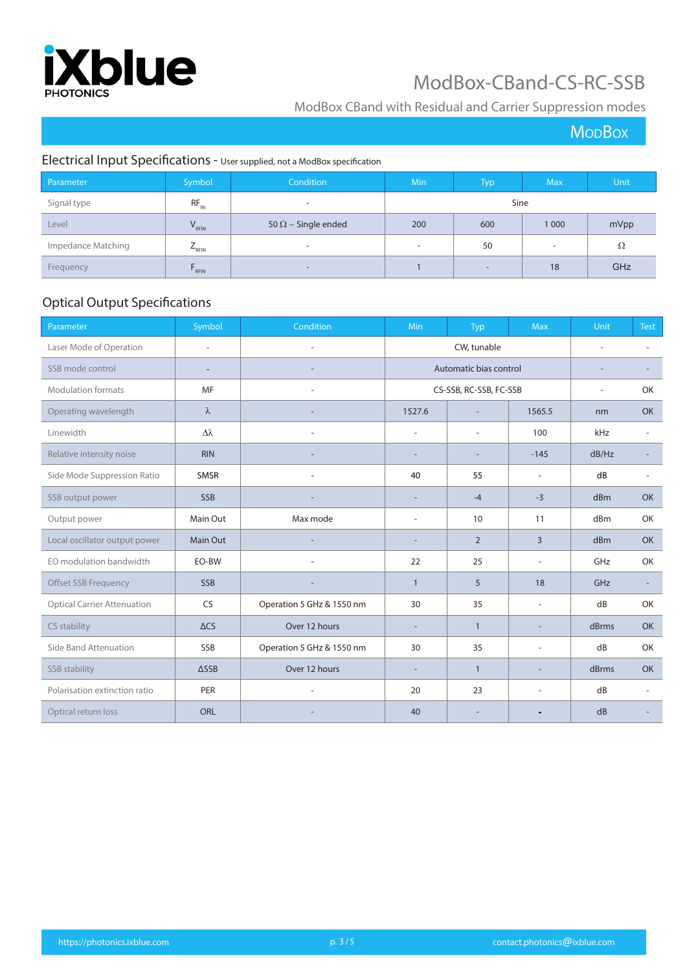

### ModBox CBand with Residual and Carrier Suppression modes

**MoDBox** 

### Electrical Input Specifications - User supplied, not a ModBox specification

| Parameter          | Symbol     | Condition                  | <b>Min</b>               | <b>Typ</b>               | <b>Max</b>               | <b>Unit</b> |
|--------------------|------------|----------------------------|--------------------------|--------------------------|--------------------------|-------------|
| Signal type        | $RF_{N}$   | $\overline{\phantom{0}}$   | <b>Sine</b>              |                          |                          |             |
| Level              | $V_{RFIN}$ | 50 $\Omega$ – Single ended | 200                      | 600                      | 1 0 0 0                  | mVpp        |
| Impedance Matching | $L_{RFIN}$ | $\overline{\phantom{a}}$   | $\overline{\phantom{a}}$ | 50                       | $\overline{\phantom{a}}$ | Ω           |
| Frequency          | $F_{RFIN}$ | $\overline{\phantom{0}}$   |                          | $\overline{\phantom{0}}$ | 18                       | GHz         |

### Optical Output Specifications

| Parameter                          | Symbol                   | Condition                 | Min                      | Typ                      | <b>Max</b>               | Unit  | <b>Test</b>              |
|------------------------------------|--------------------------|---------------------------|--------------------------|--------------------------|--------------------------|-------|--------------------------|
| Laser Mode of Operation            | $\overline{\phantom{a}}$ | L,                        |                          | CW, tunable              |                          |       | ٠                        |
| SSB mode control                   | $\overline{\phantom{a}}$ |                           |                          | Automatic bias control   |                          |       |                          |
| <b>Modulation formats</b>          | MF                       |                           |                          | CS-SSB, RC-SSB, FC-SSB   |                          | ٠     | OK                       |
| Operating wavelength               | $\lambda$                |                           | 1527.6                   | $\overline{\phantom{a}}$ | 1565.5                   | nm    | <b>OK</b>                |
| Linewidth                          | Δλ                       |                           | $\overline{\phantom{a}}$ | ÷,                       | 100                      | kHz   | ÷.                       |
| Relative intensity noise           | <b>RIN</b>               |                           | ٠                        |                          | $-145$                   | dB/Hz | ۰                        |
| Side Mode Suppression Ratio        | SMSR                     |                           | 40                       | 55                       | $\overline{a}$           | dB    | ٠                        |
| SSB output power                   | <b>SSB</b>               |                           | $\overline{\phantom{a}}$ | $-4$                     | $-3$                     | dBm   | <b>OK</b>                |
| Output power                       | Main Out                 | Max mode                  | $\overline{\phantom{a}}$ | 10                       | 11                       | dBm   | OK                       |
| Local oscillator output power      | Main Out                 |                           | $\sim$                   | 2                        | 3                        | dBm   | <b>OK</b>                |
| EO modulation bandwidth            | EO-BW                    |                           | 22                       | 25                       | $\overline{\phantom{0}}$ | GHz   | OK                       |
| Offset SSB Frequency               | <b>SSB</b>               |                           | $\mathbf{1}$             | 5                        | 18                       | GHz   | ÷                        |
| <b>Optical Carrier Attenuation</b> | <b>CS</b>                | Operation 5 GHz & 1550 nm | 30                       | 35                       | $\overline{a}$           | dB    | OK                       |
| CS stability                       | $\triangle$ CS           | Over 12 hours             | $\sim$                   | $\mathbf{1}$             | $\overline{\phantom{a}}$ | dBrms | <b>OK</b>                |
| Side Band Attenuation              | SSB                      | Operation 5 GHz & 1550 nm | 30                       | 35                       | ٠                        | dB    | OK                       |
| SSB stability                      | $\triangle$ SSB          | Over 12 hours             | $\overline{\phantom{a}}$ | $\mathbf{1}$             | $\overline{\phantom{a}}$ | dBrms | <b>OK</b>                |
| Polarisation extinction ratio      | PER                      |                           | 20                       | 23                       | $\overline{\phantom{0}}$ | dB    | $\overline{\phantom{a}}$ |
| Optical return loss                | <b>ORL</b>               |                           | 40                       |                          |                          | dB    |                          |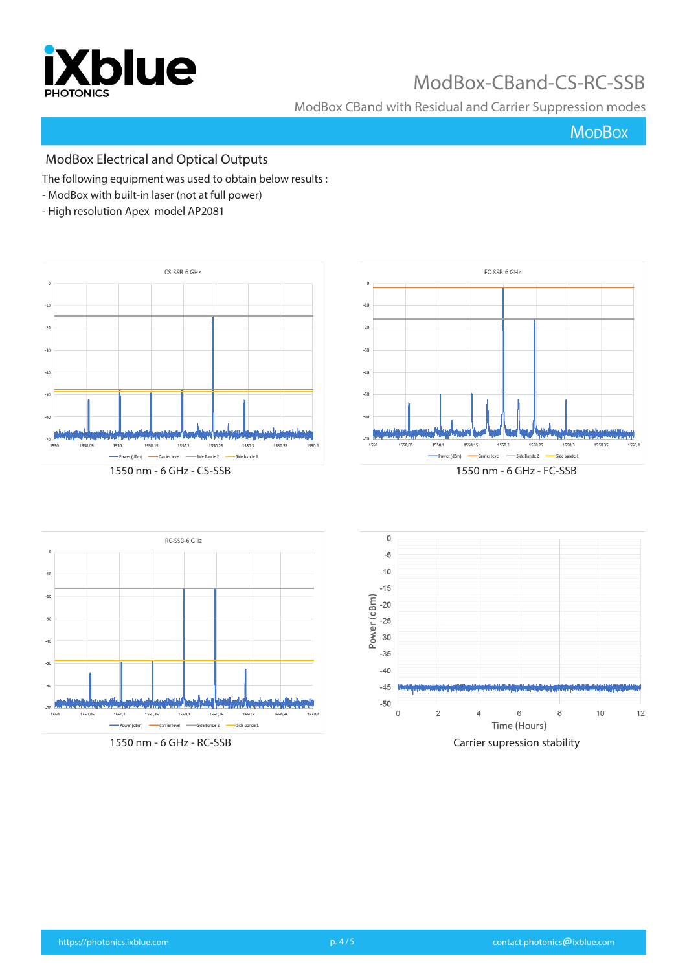

ModBox CBand with Residual and Carrier Suppression modes

## **MoDBox**

### ModBox Electrical and Optical Outputs

The following equipment was used to obtain below results :

- ModBox with built-in laser (not at full power)
- High resolution Apex model AP2081